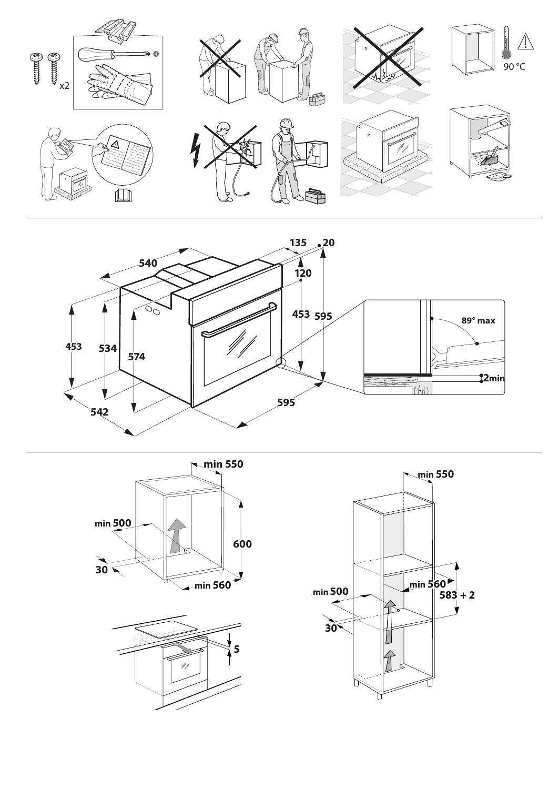







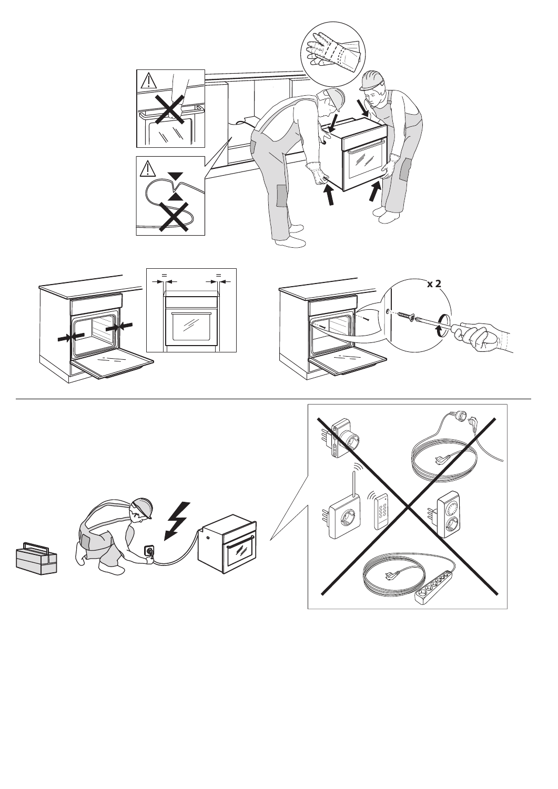



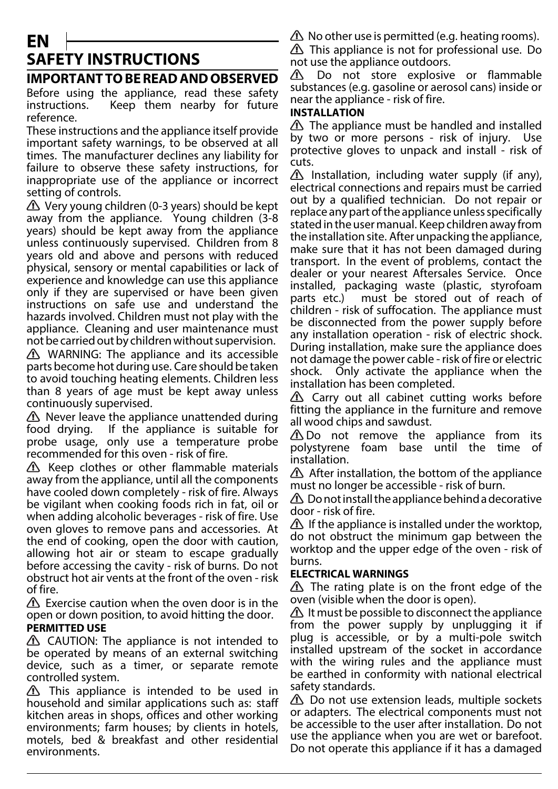# **EN SAFETY INSTRUCTIONS**

# **IMPORTANT TO BE READ AND OBSERVED**

Before using the appliance, read these safety instructions. Keep them nearby for future reference.

These instructions and the appliance itself provide important safety warnings, to be observed at all times. The manufacturer declines any liability for failure to observe these safety instructions, for inappropriate use of the appliance or incorrect setting of controls.

 $\triangle$  Very young children (0-3 years) should be kept away from the appliance. Young children (3-8 years) should be kept away from the appliance unless continuously supervised. Children from 8 years old and above and persons with reduced physical, sensory or mental capabilities or lack of experience and knowledge can use this appliance only if they are supervised or have been given instructions on safe use and understand the hazards involved. Children must not play with the appliance. Cleaning and user maintenance must not be carried out by children without supervision.

 $\triangle$  WARNING: The appliance and its accessible parts become hot during use. Care should be taken to avoid touching heating elements. Children less than 8 years of age must be kept away unless continuously supervised.

 $\triangle$  Never leave the appliance unattended during food drying. If the appliance is suitable for probe usage, only use a temperature probe recommended for this oven - risk of fire.

 $\Lambda$  Keep clothes or other flammable materials away from the appliance, until all the components have cooled down completely - risk of fire. Always be vigilant when cooking foods rich in fat, oil or when adding alcoholic beverages - risk of fire. Use oven gloves to remove pans and accessories. At the end of cooking, open the door with caution, allowing hot air or steam to escape gradually before accessing the cavity - risk of burns. Do not obstruct hot air vents at the front of the oven - risk of fire.

 $\triangle$  Exercise caution when the oven door is in the open or down position, to avoid hitting the door.

## **PERMITTED USE**

 $\triangle$  CAUTION: The appliance is not intended to be operated by means of an external switching device, such as a timer, or separate remote controlled system.

 $\triangle$  This appliance is intended to be used in household and similar applications such as: staff kitchen areas in shops, offices and other working environments; farm houses; by clients in hotels, motels, bed & breakfast and other residential environments.

 $\triangle$  No other use is permitted (e.g. heating rooms).

**A** This appliance is not for professional use. Do not use the appliance outdoors.

 $\Delta$ Do not store explosive or flammable substances (e.g. gasoline or aerosol cans) inside or near the appliance - risk of fire.

## **INSTALLATION**

 $\triangle$  The appliance must be handled and installed by two or more persons - risk of injury. Use protective gloves to unpack and install - risk of cuts.

 $\Delta$  Installation, including water supply (if any), electrical connections and repairs must be carried out by a qualified technician. Do not repair or replace any part of the appliance unless specifically stated in the user manual. Keep children away from the installation site. After unpacking the appliance, make sure that it has not been damaged during transport. In the event of problems, contact the dealer or your nearest Aftersales Service. Once installed, packaging waste (plastic, styrofoam parts etc.) must be stored out of reach of children - risk of suffocation. The appliance must be disconnected from the power supply before any installation operation - risk of electric shock. During installation, make sure the appliance does not damage the power cable - risk of fire or electric shock. Only activate the appliance when the installation has been completed.

 $\triangle$  Carry out all cabinet cutting works before fitting the appliance in the furniture and remove all wood chips and sawdust.

 $\triangle$  Do not remove the appliance from its polystyrene foam base until the time of installation.

 $\triangle$  After installation, the bottom of the appliance must no longer be accessible - risk of burn.

 $\triangle$  Do not install the appliance behind a decorative door - risk of fire.

 $\triangle$  If the appliance is installed under the worktop, do not obstruct the minimum gap between the worktop and the upper edge of the oven - risk of burns.

# **ELECTRICAL WARNINGS**

 $\Delta$  The rating plate is on the front edge of the oven (visible when the door is open).

It must be possible to disconnect the appliance from the power supply by unplugging it if plug is accessible, or by a multi-pole switch installed upstream of the socket in accordance with the wiring rules and the appliance must be earthed in conformity with national electrical safety standards.

 $\triangle$  Do not use extension leads, multiple sockets or adapters. The electrical components must not be accessible to the user after installation. Do not use the appliance when you are wet or barefoot. Do not operate this appliance if it has a damaged